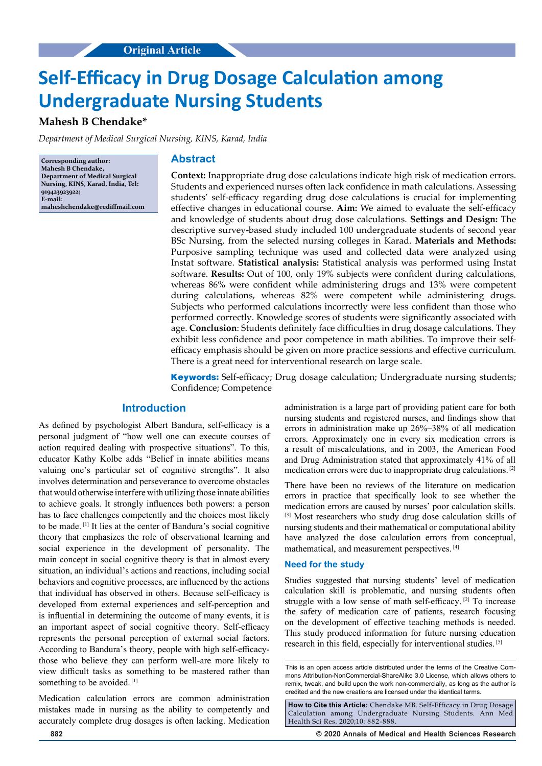# **Self-Efficacy in Drug Dosage Calculation among Undergraduate Nursing Students**

# **Mahesh B Chendake\***

*Department of Medical Surgical Nursing, KINS, Karad, India*

**Corresponding author: Mahesh B Chendake, Department of Medical Surgical Nursing, KINS, Karad, India, Tel: 919423923922; E-mail: maheshchendake@rediffmail.com**

## **Abstract**

**Context:** Inappropriate drug dose calculations indicate high risk of medication errors. Students and experienced nurses often lack confidence in math calculations. Assessing students' self-efficacy regarding drug dose calculations is crucial for implementing effective changes in educational course. **Aim:** We aimed to evaluate the self-efficacy and knowledge of students about drug dose calculations. **Settings and Design:** The descriptive survey-based study included 100 undergraduate students of second year BSc Nursing, from the selected nursing colleges in Karad. **Materials and Methods:** Purposive sampling technique was used and collected data were analyzed using Instat software. **Statistical analysis:** Statistical analysis was performed using Instat software. **Results:** Out of 100, only 19% subjects were confident during calculations, whereas 86% were confident while administering drugs and 13% were competent during calculations, whereas 82% were competent while administering drugs. Subjects who performed calculations incorrectly were less confident than those who performed correctly. Knowledge scores of students were significantly associated with age. **Conclusion**: Students definitely face difficulties in drug dosage calculations. They exhibit less confidence and poor competence in math abilities. To improve their selfefficacy emphasis should be given on more practice sessions and effective curriculum. There is a great need for interventional research on large scale.

**Keywords:** Self-efficacy; Drug dosage calculation; Undergraduate nursing students; Confidence; Competence

#### **Introduction**

As defined by psychologist Albert Bandura, self-efficacy is a personal judgment of "how well one can execute courses of action required dealing with prospective situations". To this, educator Kathy Kolbe adds "Belief in innate abilities means valuing one's particular set of cognitive strengths". It also involves determination and perseverance to overcome obstacles that would otherwise interfere with utilizing those innate abilities to achieve goals. It strongly influences both powers: a person has to face challenges competently and the choices most likely to be made. [1] It lies at the center of Bandura's social cognitive theory that emphasizes the role of observational learning and social experience in the development of personality. The main concept in social cognitive theory is that in almost every situation, an individual's actions and reactions, including social behaviors and cognitive processes, are influenced by the actions that individual has observed in others. Because self-efficacy is developed from external experiences and self-perception and is influential in determining the outcome of many events, it is an important aspect of social cognitive theory. Self-efficacy represents the personal perception of external social factors. According to Bandura's theory, people with high self-efficacythose who believe they can perform well-are more likely to view difficult tasks as something to be mastered rather than something to be avoided.<sup>[1]</sup>

Medication calculation errors are common administration mistakes made in nursing as the ability to competently and accurately complete drug dosages is often lacking. Medication

administration is a large part of providing patient care for both nursing students and registered nurses, and findings show that errors in administration make up 26%–38% of all medication errors. Approximately one in every six medication errors is a result of miscalculations, and in 2003, the American Food and Drug Administration stated that approximately 41% of all medication errors were due to inappropriate drug calculations. [2]

There have been no reviews of the literature on medication errors in practice that specifically look to see whether the medication errors are caused by nurses' poor calculation skills. [3] Most researchers who study drug dose calculation skills of nursing students and their mathematical or computational ability have analyzed the dose calculation errors from conceptual, mathematical, and measurement perspectives. [4]

### **Need for the study**

Studies suggested that nursing students' level of medication calculation skill is problematic, and nursing students often struggle with a low sense of math self-efficacy. [2] To increase the safety of medication care of patients, research focusing on the development of effective teaching methods is needed. This study produced information for future nursing education research in this field, especially for interventional studies. [5]

**How to Cite this Article:** Chendake MB. Self-Efficacy in Drug Dosage Calculation among Undergraduate Nursing Students. Ann Med Health Sci Res. 2020;10: 882-888.

**882 © 2020 Annals of Medical and Health Sciences Research** 

This is an open access article distributed under the terms of the Creative Commons Attribution‑NonCommercial‑ShareAlike 3.0 License, which allows others to remix, tweak, and build upon the work non‑commercially, as long as the author is credited and the new creations are licensed under the identical terms.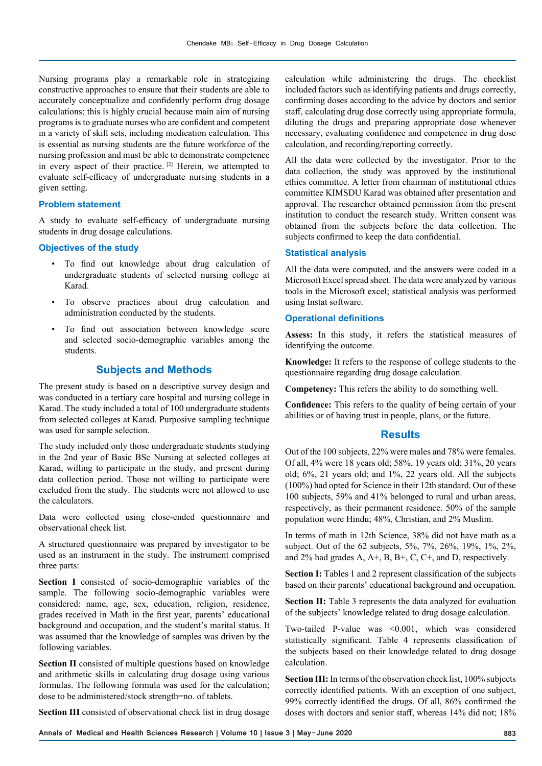Nursing programs play a remarkable role in strategizing constructive approaches to ensure that their students are able to accurately conceptualize and confidently perform drug dosage calculations; this is highly crucial because main aim of nursing programs is to graduate nurses who are confident and competent in a variety of skill sets, including medication calculation. This is essential as nursing students are the future workforce of the nursing profession and must be able to demonstrate competence in every aspect of their practice. <sup>[2]</sup> Herein, we attempted to evaluate self-efficacy of undergraduate nursing students in a given setting.

#### **Problem statement**

A study to evaluate self-efficacy of undergraduate nursing students in drug dosage calculations.

## **Objectives of the study**

- To find out knowledge about drug calculation of undergraduate students of selected nursing college at Karad.
- To observe practices about drug calculation and administration conducted by the students.
- To find out association between knowledge score and selected socio-demographic variables among the students.

## **Subjects and Methods**

The present study is based on a descriptive survey design and was conducted in a tertiary care hospital and nursing college in Karad. The study included a total of 100 undergraduate students from selected colleges at Karad. Purposive sampling technique was used for sample selection.

The study included only those undergraduate students studying in the 2nd year of Basic BSc Nursing at selected colleges at Karad, willing to participate in the study, and present during data collection period. Those not willing to participate were excluded from the study. The students were not allowed to use the calculators.

Data were collected using close-ended questionnaire and observational check list.

A structured questionnaire was prepared by investigator to be used as an instrument in the study. The instrument comprised three parts:

**Section I** consisted of socio-demographic variables of the sample. The following socio-demographic variables were considered: name, age, sex, education, religion, residence, grades received in Math in the first year, parents' educational background and occupation, and the student's marital status. It was assumed that the knowledge of samples was driven by the following variables.

**Section II** consisted of multiple questions based on knowledge and arithmetic skills in calculating drug dosage using various formulas. The following formula was used for the calculation; dose to be administered/stock strength=no. of tablets.

**Section III** consisted of observational check list in drug dosage

calculation while administering the drugs. The checklist included factors such as identifying patients and drugs correctly, confirming doses according to the advice by doctors and senior staff, calculating drug dose correctly using appropriate formula, diluting the drugs and preparing appropriate dose whenever necessary, evaluating confidence and competence in drug dose calculation, and recording/reporting correctly.

All the data were collected by the investigator. Prior to the data collection, the study was approved by the institutional ethics committee. A letter from chairman of institutional ethics committee KIMSDU Karad was obtained after presentation and approval. The researcher obtained permission from the present institution to conduct the research study. Written consent was obtained from the subjects before the data collection. The subjects confirmed to keep the data confidential.

#### **Statistical analysis**

All the data were computed, and the answers were coded in a Microsoft Excel spread sheet. The data were analyzed by various tools in the Microsoft excel; statistical analysis was performed using Instat software.

#### **Operational definitions**

**Assess:** In this study, it refers the statistical measures of identifying the outcome.

**Knowledge:** It refers to the response of college students to the questionnaire regarding drug dosage calculation.

**Competency:** This refers the ability to do something well.

**Confidence:** This refers to the quality of being certain of your abilities or of having trust in people, plans, or the future.

## **Results**

Out of the 100 subjects, 22% were males and 78% were females. Of all, 4% were 18 years old; 58%, 19 years old; 31%, 20 years old; 6%, 21 years old; and 1%, 22 years old. All the subjects (100%) had opted for Science in their 12th standard. Out of these 100 subjects, 59% and 41% belonged to rural and urban areas, respectively, as their permanent residence. 50% of the sample population were Hindu; 48%, Christian, and 2% Muslim.

In terms of math in 12th Science, 38% did not have math as a subject. Out of the 62 subjects, 5%, 7%, 26%, 19%, 1%, 2%, and 2% had grades A, A+, B, B+, C, C+, and D, respectively.

**Section I:** Tables 1 and 2 represent classification of the subjects based on their parents' educational background and occupation.

**Section II:** Table 3 represents the data analyzed for evaluation of the subjects' knowledge related to drug dosage calculation.

Two-tailed P-value was <0.001, which was considered statistically significant. Table 4 represents classification of the subjects based on their knowledge related to drug dosage calculation.

**Section III:** In terms of the observation check list, 100% subjects correctly identified patients. With an exception of one subject, 99% correctly identified the drugs. Of all, 86% confirmed the doses with doctors and senior staff, whereas 14% did not; 18%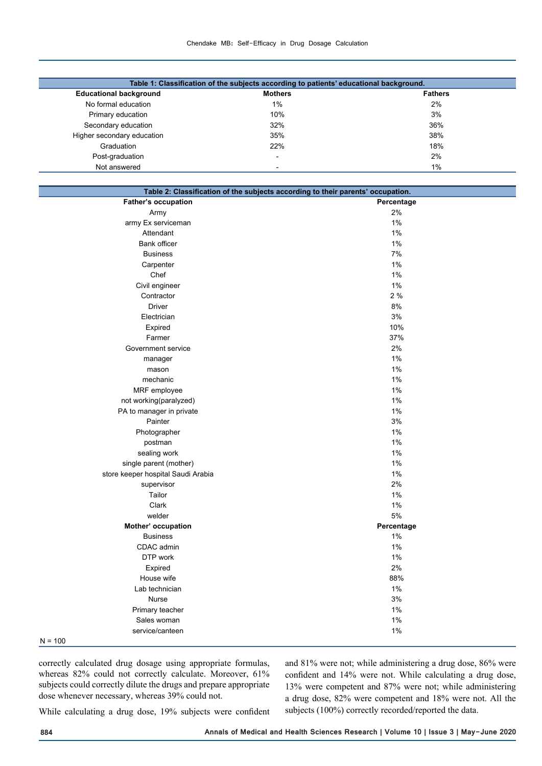| Table 1: Classification of the subjects according to patients' educational background. |                          |                |  |  |  |  |
|----------------------------------------------------------------------------------------|--------------------------|----------------|--|--|--|--|
| <b>Educational background</b>                                                          | <b>Mothers</b>           | <b>Fathers</b> |  |  |  |  |
| No formal education                                                                    | 1%                       | 2%             |  |  |  |  |
| Primary education                                                                      | 10%                      | 3%             |  |  |  |  |
| Secondary education                                                                    | 32%                      | 36%            |  |  |  |  |
| Higher secondary education                                                             | 35%                      | 38%            |  |  |  |  |
| Graduation                                                                             | 22%                      | 18%            |  |  |  |  |
| Post-graduation                                                                        | $\overline{\phantom{0}}$ | 2%             |  |  |  |  |
| Not answered                                                                           | $\overline{\phantom{0}}$ | 1%             |  |  |  |  |

| Table 2: Classification of the subjects according to their parents' occupation. |            |  |  |  |  |
|---------------------------------------------------------------------------------|------------|--|--|--|--|
| <b>Father's occupation</b>                                                      | Percentage |  |  |  |  |
| Army                                                                            | 2%         |  |  |  |  |
| army Ex serviceman                                                              | 1%         |  |  |  |  |
| Attendant                                                                       | 1%         |  |  |  |  |
| <b>Bank officer</b>                                                             | 1%         |  |  |  |  |
| <b>Business</b>                                                                 | 7%         |  |  |  |  |
| Carpenter                                                                       | 1%         |  |  |  |  |
| Chef                                                                            | $1\%$      |  |  |  |  |
| Civil engineer                                                                  | 1%         |  |  |  |  |
| Contractor                                                                      | 2%         |  |  |  |  |
| <b>Driver</b>                                                                   | $8\%$      |  |  |  |  |
| Electrician                                                                     | $3%$       |  |  |  |  |
| Expired                                                                         | 10%        |  |  |  |  |
| Farmer                                                                          | 37%        |  |  |  |  |
| Government service                                                              | 2%         |  |  |  |  |
| manager                                                                         | 1%         |  |  |  |  |
| mason                                                                           | 1%         |  |  |  |  |
| mechanic                                                                        | 1%         |  |  |  |  |
| MRF employee                                                                    | 1%         |  |  |  |  |
| not working(paralyzed)                                                          | 1%         |  |  |  |  |
| PA to manager in private                                                        | $1\%$      |  |  |  |  |
| Painter                                                                         | $3%$       |  |  |  |  |
| Photographer                                                                    | $1\%$      |  |  |  |  |
| postman                                                                         | 1%         |  |  |  |  |
| sealing work                                                                    | 1%         |  |  |  |  |
| single parent (mother)                                                          | $1\%$      |  |  |  |  |
| store keeper hospital Saudi Arabia                                              | 1%         |  |  |  |  |
| supervisor                                                                      | 2%         |  |  |  |  |
| Tailor                                                                          | $1\%$      |  |  |  |  |
| Clark                                                                           | $1\%$      |  |  |  |  |
| welder                                                                          | 5%         |  |  |  |  |
| Mother' occupation                                                              | Percentage |  |  |  |  |
| <b>Business</b>                                                                 | 1%         |  |  |  |  |
| CDAC admin                                                                      | 1%         |  |  |  |  |
| DTP work                                                                        | 1%         |  |  |  |  |
| Expired                                                                         | 2%         |  |  |  |  |
| House wife                                                                      | 88%        |  |  |  |  |
| Lab technician                                                                  | 1%         |  |  |  |  |
| Nurse                                                                           | 3%         |  |  |  |  |
| Primary teacher                                                                 | 1%         |  |  |  |  |
| Sales woman                                                                     | $1\%$      |  |  |  |  |
| service/canteen                                                                 | 1%         |  |  |  |  |
| $N = 400$                                                                       |            |  |  |  |  |

 $N = 100$ 

correctly calculated drug dosage using appropriate formulas, whereas 82% could not correctly calculate. Moreover, 61% subjects could correctly dilute the drugs and prepare appropriate dose whenever necessary, whereas 39% could not.

and 81% were not; while administering a drug dose, 86% were confident and 14% were not. While calculating a drug dose, 13% were competent and 87% were not; while administering a drug dose, 82% were competent and 18% were not. All the subjects (100%) correctly recorded/reported the data.

While calculating a drug dose, 19% subjects were confident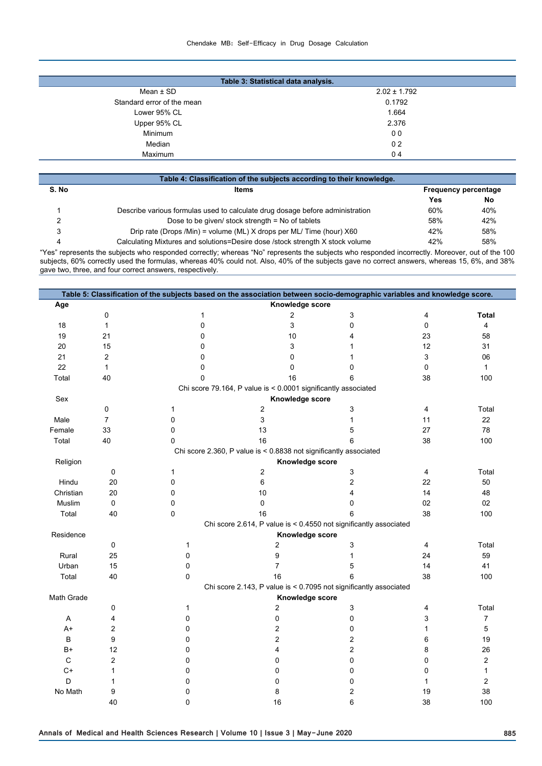#### Chendake MB: Self-Efficacy in Drug Dosage Calculation

| Table 3: Statistical data analysis. |                  |  |  |  |  |
|-------------------------------------|------------------|--|--|--|--|
| Mean $\pm$ SD                       | $2.02 \pm 1.792$ |  |  |  |  |
| Standard error of the mean          | 0.1792           |  |  |  |  |
| Lower 95% CL                        | 1.664            |  |  |  |  |
| Upper 95% CL                        | 2.376            |  |  |  |  |
| Minimum                             | 0 <sub>0</sub>   |  |  |  |  |
| Median                              | 0 <sub>2</sub>   |  |  |  |  |
| Maximum                             | 04               |  |  |  |  |
|                                     |                  |  |  |  |  |

| Table 4: Classification of the subjects according to their knowledge. |                                                                               |     |     |  |  |  |  |
|-----------------------------------------------------------------------|-------------------------------------------------------------------------------|-----|-----|--|--|--|--|
| S. No                                                                 | <b>Items</b><br><b>Frequency percentage</b>                                   |     |     |  |  |  |  |
|                                                                       |                                                                               | Yes | No  |  |  |  |  |
|                                                                       | Describe various formulas used to calculate drug dosage before administration | 60% | 40% |  |  |  |  |
| 2                                                                     | Dose to be given/ stock strength $=$ No of tablets                            | 58% | 42% |  |  |  |  |
| 3                                                                     | Drip rate (Drops /Min) = volume (ML) X drops per ML/ Time (hour) X60          | 42% | 58% |  |  |  |  |
| 4                                                                     | Calculating Mixtures and solutions=Desire dose /stock strength X stock volume | 42% | 58% |  |  |  |  |

I

"Yes" represents the subjects who responded correctly; whereas "No" represents the subjects who responded incorrectly. Moreover, out of the 100 subjects, 60% correctly used the formulas, whereas 40% could not. Also, 40% of the subjects gave no correct answers, whereas 15, 6%, and 38% gave two, three, and four correct answers, respectively.

| Table 5: Classification of the subjects based on the association between socio-demographic variables and knowledge score. |                                                                |                 |                                                                   |   |                         |              |  |  |  |
|---------------------------------------------------------------------------------------------------------------------------|----------------------------------------------------------------|-----------------|-------------------------------------------------------------------|---|-------------------------|--------------|--|--|--|
| Age                                                                                                                       |                                                                | Knowledge score |                                                                   |   |                         |              |  |  |  |
|                                                                                                                           | 0                                                              | 1               | 2                                                                 | 3 | 4                       | <b>Total</b> |  |  |  |
| 18                                                                                                                        | $\mathbf{1}$                                                   | 0               | 3                                                                 | 0 | 0                       | 4            |  |  |  |
| 19                                                                                                                        | 21                                                             | 0               | 10                                                                | 4 | 23                      | 58           |  |  |  |
| 20                                                                                                                        | 15                                                             | 0               | 3                                                                 | 1 | 12                      | 31           |  |  |  |
| 21                                                                                                                        | $\overline{2}$                                                 | 0               | $\mathbf 0$                                                       | 1 | 3                       | 06           |  |  |  |
| 22                                                                                                                        | $\mathbf{1}$                                                   | 0               | 0                                                                 | 0 | 0                       | 1            |  |  |  |
| Total                                                                                                                     | 40                                                             | $\mathbf 0$     | 16                                                                | 6 | 38                      | 100          |  |  |  |
|                                                                                                                           | Chi score 79.164, P value is < 0.0001 significantly associated |                 |                                                                   |   |                         |              |  |  |  |
| Sex                                                                                                                       |                                                                |                 | Knowledge score                                                   |   |                         |              |  |  |  |
|                                                                                                                           | 0                                                              | $\mathbf{1}$    | 2                                                                 | 3 | 4                       | Total        |  |  |  |
| Male                                                                                                                      | $\overline{7}$                                                 | 0               | 3                                                                 | 1 | 11                      | 22           |  |  |  |
| Female                                                                                                                    | 33                                                             | 0               | 13                                                                | 5 | 27                      | 78           |  |  |  |
| Total                                                                                                                     | 40                                                             | 0               | 16                                                                | 6 | 38                      | 100          |  |  |  |
|                                                                                                                           |                                                                |                 | Chi score 2.360, P value is < 0.8838 not significantly associated |   |                         |              |  |  |  |
| Religion                                                                                                                  |                                                                |                 | Knowledge score                                                   |   |                         |              |  |  |  |
|                                                                                                                           | 0                                                              | 1               | 2                                                                 | 3 | $\overline{\mathbf{4}}$ | Total        |  |  |  |
| Hindu                                                                                                                     | 20                                                             | 0               | 6                                                                 | 2 | 22                      | 50           |  |  |  |
| Christian                                                                                                                 | 20                                                             | 0               | 10                                                                | 4 | 14                      | 48           |  |  |  |
| Muslim                                                                                                                    | 0                                                              | 0               | 0                                                                 | 0 | 02                      | 02           |  |  |  |
| Total                                                                                                                     | 40                                                             | 0               | 16                                                                | 6 | 38                      | 100          |  |  |  |
|                                                                                                                           |                                                                |                 | Chi score 2.614, P value is < 0.4550 not significantly associated |   |                         |              |  |  |  |
| Residence                                                                                                                 |                                                                |                 | Knowledge score                                                   |   |                         |              |  |  |  |
|                                                                                                                           | 0                                                              | 1               | $\overline{2}$                                                    | 3 | 4                       | Total        |  |  |  |
| Rural                                                                                                                     | 25                                                             | 0               | 9                                                                 | 1 | 24                      | 59           |  |  |  |
| Urban                                                                                                                     | 15                                                             | 0               | 7                                                                 | 5 | 14                      | 41           |  |  |  |
| Total                                                                                                                     | 40                                                             | 0               | 16                                                                | 6 | 38                      | 100          |  |  |  |
|                                                                                                                           |                                                                |                 | Chi score 2.143, P value is < 0.7095 not significantly associated |   |                         |              |  |  |  |
| Math Grade                                                                                                                | Knowledge score                                                |                 |                                                                   |   |                         |              |  |  |  |
|                                                                                                                           | 0                                                              | 1               | 2                                                                 | 3 | 4                       | Total        |  |  |  |
| Α                                                                                                                         | 4                                                              | 0               | 0                                                                 | 0 | 3                       | 7            |  |  |  |
| $A+$                                                                                                                      | $\overline{2}$                                                 | 0               | $\overline{c}$                                                    | 0 | 1                       | 5            |  |  |  |
| В                                                                                                                         | 9                                                              | 0               | $\overline{c}$                                                    | 2 | 6                       | 19           |  |  |  |
| B+                                                                                                                        | 12                                                             | 0               | 4                                                                 | 2 | 8                       | 26           |  |  |  |
| $\mathsf C$                                                                                                               | $\overline{2}$                                                 | 0               | 0                                                                 | 0 | 0                       | 2            |  |  |  |
| $C+$                                                                                                                      | 1                                                              | 0               | $\Omega$                                                          | 0 | 0                       | $\mathbf{1}$ |  |  |  |
| D                                                                                                                         | 1                                                              | 0               | 0                                                                 | 0 | $\mathbf{1}$            | 2            |  |  |  |
| No Math                                                                                                                   | 9                                                              | 0               | 8                                                                 | 2 | 19                      | 38           |  |  |  |
|                                                                                                                           | 40                                                             | 0               | 16                                                                | 6 | 38                      | 100          |  |  |  |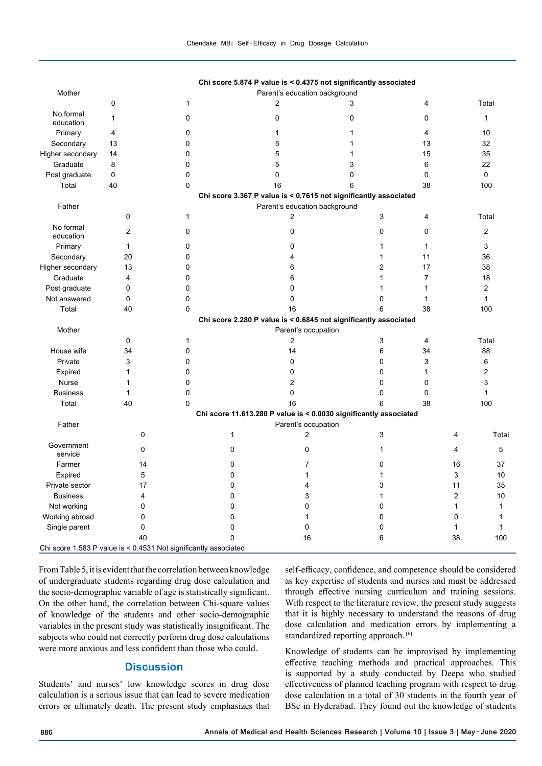|                                                                  |                |                     | Chi score 5.874 P value is < 0.4375 not significantly associated  |                               |   |                |                |                |                |  |
|------------------------------------------------------------------|----------------|---------------------|-------------------------------------------------------------------|-------------------------------|---|----------------|----------------|----------------|----------------|--|
| Mother                                                           |                |                     |                                                                   | Parent's education background |   |                |                |                |                |  |
|                                                                  | 0              | $\mathbf{1}$        |                                                                   | 2                             | 3 |                | 4              |                | Total          |  |
| No formal<br>education                                           | 1              | $\mathbf 0$         |                                                                   | $\mathbf 0$                   | 0 |                | 0              |                | $\mathbf{1}$   |  |
| Primary                                                          | 4              | 0                   |                                                                   | 1                             | 1 |                | $\overline{4}$ |                | 10             |  |
| Secondary                                                        | 13             | $\mathbf{0}$        |                                                                   | 5                             | 1 |                | 13             |                | 32             |  |
| Higher secondary                                                 | 14             | 0                   |                                                                   | 5                             | 1 |                | 15             |                | 35             |  |
| Graduate                                                         | 8              | 0                   |                                                                   | 5                             | 3 |                | 6              |                | 22             |  |
| Post graduate                                                    | 0              | 0                   |                                                                   | $\mathbf 0$                   | 0 |                | $\mathbf 0$    |                | 0              |  |
| Total                                                            | 40             | $\mathbf 0$         |                                                                   | 16                            | 6 |                | 38             |                | 100            |  |
|                                                                  |                |                     | Chi score 3.367 P value is < 0.7615 not significantly associated  |                               |   |                |                |                |                |  |
| Father                                                           |                |                     |                                                                   | Parent's education background |   |                |                |                |                |  |
|                                                                  | 0              | $\mathbf{1}$        |                                                                   | 2                             |   | 3              | $\overline{4}$ |                | Total          |  |
| No formal<br>education                                           | $\overline{2}$ | 0                   |                                                                   | 0                             |   | 0              | 0              |                | $\overline{2}$ |  |
| Primary                                                          | $\mathbf{1}$   | 0                   |                                                                   | 0                             |   | $\mathbf{1}$   | $\mathbf{1}$   |                | 3              |  |
| Secondary                                                        | 20             | $\mathbf 0$         |                                                                   | 4                             |   | $\mathbf{1}$   | 11             |                | 36             |  |
| Higher secondary                                                 | 13             | $\mathbf 0$         |                                                                   | 6                             |   | $\overline{2}$ | 17             |                | 38             |  |
| Graduate                                                         | 4              | $\mathbf 0$         |                                                                   | 6                             |   | $\mathbf{1}$   | $\overline{7}$ |                | 18             |  |
| Post graduate                                                    | 0              | 0                   |                                                                   | 0                             |   | $\mathbf{1}$   | $\mathbf{1}$   |                | 2              |  |
| Not answered                                                     | 0              | 0                   |                                                                   | 0                             |   | 0              | $\mathbf{1}$   |                | $\mathbf{1}$   |  |
| Total                                                            | 40             | $\mathbf 0$         |                                                                   | 16                            |   | 6              | 38             |                | 100            |  |
|                                                                  |                |                     | Chi score 2.280 P value is < 0.6845 not significantly associated  |                               |   |                |                |                |                |  |
| Mother                                                           |                | Parent's occupation |                                                                   |                               |   |                |                |                |                |  |
|                                                                  | 0              | $\mathbf{1}$        |                                                                   | 2                             |   | 3              | 4              |                | Total          |  |
| House wife                                                       | 34             | $\mathbf 0$         |                                                                   | 14                            |   | 6              | 34             |                | 88             |  |
| Private                                                          | 3              | 0                   |                                                                   | 0                             |   | 0              | 3              |                | 6              |  |
| Expired                                                          | $\mathbf{1}$   | $\mathbf 0$         |                                                                   | 0                             |   | 0              | $\mathbf{1}$   |                | 2              |  |
| Nurse                                                            | $\mathbf 1$    | 0                   |                                                                   | $\overline{c}$                |   | 0              | $\mathbf 0$    |                | 3              |  |
| <b>Business</b>                                                  | $\mathbf{1}$   | 0                   |                                                                   | 0                             |   | 0              | $\Omega$       |                | $\mathbf{1}$   |  |
| Total                                                            | 40             | $\mathbf 0$         |                                                                   | 16                            |   | 6              | 38             |                | 100            |  |
|                                                                  |                |                     | Chi score 11.613.280 P value is < 0.0030 significantly associated |                               |   |                |                |                |                |  |
| Father                                                           |                |                     |                                                                   | Parent's occupation           |   |                |                |                |                |  |
|                                                                  | $\mathbf 0$    |                     | 1                                                                 | $\overline{c}$                |   | 3              |                | $\overline{4}$ | Tota           |  |
| Government<br>service                                            | 0              |                     | 0                                                                 | $\mathbf 0$                   |   | $\mathbf{1}$   |                | $\overline{4}$ | 5              |  |
| Farmer                                                           | 14             |                     | 0                                                                 | $\overline{7}$                |   | 0              |                | 16             | 37             |  |
| Expired                                                          | 5              |                     | 0                                                                 | 1                             |   | $\mathbf{1}$   |                | 3              | 10             |  |
| Private sector                                                   | 17             |                     | 0                                                                 | 4                             |   | 3              |                | 11             | 35             |  |
| <b>Business</b>                                                  | 4              |                     | 0                                                                 | 3                             |   | $\mathbf{1}$   |                | 2              | 10             |  |
| Not working                                                      | 0              |                     | 0                                                                 | $\Omega$                      |   | 0              |                | $\mathbf{1}$   | $\mathbf{1}$   |  |
| Working abroad                                                   | 0              |                     | 0                                                                 | $\mathbf{1}$                  |   | 0              |                | $\mathbf 0$    | 1              |  |
| Single parent                                                    | 0              |                     | 0                                                                 | $\mathbf 0$                   |   | 0              |                | $\mathbf{1}$   | $\mathbf{1}$   |  |
|                                                                  | 40             |                     | $\Omega$                                                          | 16                            |   | 6              |                | 38             | 100            |  |
| Chi score 1.583 P value is < 0.4531 Not significantly associated |                |                     |                                                                   |                               |   |                |                |                |                |  |

From Table 5, it is evident that the correlation between knowledge of undergraduate students regarding drug dose calculation and the socio-demographic variable of age is statistically significant. On the other hand, the correlation between Chi-square values of knowledge of the students and other socio-demographic variables in the present study was statistically insignificant. The subjects who could not correctly perform drug dose calculations were more anxious and less confident than those who could.

## **Discussion**

Students' and nurses' low knowledge scores in drug dose calculation is a serious issue that can lead to severe medication errors or ultimately death. The present study emphasizes that self-efficacy, confidence, and competence should be considered as key expertise of students and nurses and must be addressed through effective nursing curriculum and training sessions. With respect to the literature review, the present study suggests that it is highly necessary to understand the reasons of drug dose calculation and medication errors by implementing a standardized reporting approach.<sup>[6]</sup>

Knowledge of students can be improvised by implementing effective teaching methods and practical approaches. This is supported by a study conducted by Deepa who studied effectiveness of planned teaching program with respect to drug dose calculation in a total of 30 students in the fourth year of BSc in Hyderabad. They found out the knowledge of students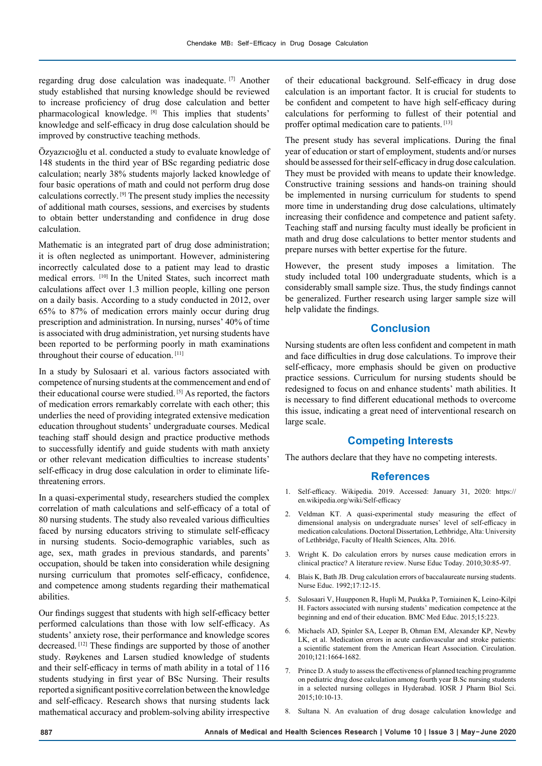regarding drug dose calculation was inadequate. [7] Another study established that nursing knowledge should be reviewed to increase proficiency of drug dose calculation and better pharmacological knowledge. [8] This implies that students' knowledge and self-efficacy in drug dose calculation should be improved by constructive teaching methods.

Özyazıcıoğlu et al. conducted a study to evaluate knowledge of 148 students in the third year of BSc regarding pediatric dose calculation; nearly 38% students majorly lacked knowledge of four basic operations of math and could not perform drug dose calculations correctly. [9] The present study implies the necessity of additional math courses, sessions, and exercises by students to obtain better understanding and confidence in drug dose calculation.

Mathematic is an integrated part of drug dose administration; it is often neglected as unimportant. However, administering incorrectly calculated dose to a patient may lead to drastic medical errors. [10] In the United States, such incorrect math calculations affect over 1.3 million people, killing one person on a daily basis. According to a study conducted in 2012, over 65% to 87% of medication errors mainly occur during drug prescription and administration. In nursing, nurses' 40% of time is associated with drug administration, yet nursing students have been reported to be performing poorly in math examinations throughout their course of education. [11]

In a study by Sulosaari et al. various factors associated with competence of nursing students at the commencement and end of their educational course were studied. [5] As reported, the factors of medication errors remarkably correlate with each other; this underlies the need of providing integrated extensive medication education throughout students' undergraduate courses. Medical teaching staff should design and practice productive methods to successfully identify and guide students with math anxiety or other relevant medication difficulties to increase students' self-efficacy in drug dose calculation in order to eliminate lifethreatening errors.

In a quasi-experimental study, researchers studied the complex correlation of math calculations and self-efficacy of a total of 80 nursing students. The study also revealed various difficulties faced by nursing educators striving to stimulate self-efficacy in nursing students. Socio-demographic variables, such as age, sex, math grades in previous standards, and parents' occupation, should be taken into consideration while designing nursing curriculum that promotes self-efficacy, confidence, and competence among students regarding their mathematical abilities.

Our findings suggest that students with high self-efficacy better performed calculations than those with low self-efficacy. As students' anxiety rose, their performance and knowledge scores decreased. [12] These findings are supported by those of another study. Røykenes and Larsen studied knowledge of students and their self-efficacy in terms of math ability in a total of 116 students studying in first year of BSc Nursing. Their results reported a significant positive correlation between the knowledge and self-efficacy. Research shows that nursing students lack mathematical accuracy and problem-solving ability irrespective

of their educational background. Self-efficacy in drug dose calculation is an important factor. It is crucial for students to be confident and competent to have high self-efficacy during calculations for performing to fullest of their potential and proffer optimal medication care to patients. [13]

The present study has several implications. During the final year of education or start of employment, students and/or nurses should be assessed for their self-efficacy in drug dose calculation. They must be provided with means to update their knowledge. Constructive training sessions and hands-on training should be implemented in nursing curriculum for students to spend more time in understanding drug dose calculations, ultimately increasing their confidence and competence and patient safety. Teaching staff and nursing faculty must ideally be proficient in math and drug dose calculations to better mentor students and prepare nurses with better expertise for the future.

However, the present study imposes a limitation. The study included total 100 undergraduate students, which is a considerably small sample size. Thus, the study findings cannot be generalized. Further research using larger sample size will help validate the findings.

## **Conclusion**

Nursing students are often less confident and competent in math and face difficulties in drug dose calculations. To improve their self-efficacy, more emphasis should be given on productive practice sessions. Curriculum for nursing students should be redesigned to focus on and enhance students' math abilities. It is necessary to find different educational methods to overcome this issue, indicating a great need of interventional research on large scale.

## **Competing Interests**

The authors declare that they have no competing interests.

## **References**

- 1. Self-efficacy. Wikipedia. 2019. Accessed: January 31, 2020: https:// en.wikipedia.org/wiki/Self-efficacy
- 2. Veldman KT. A quasi-experimental study measuring the effect of dimensional analysis on undergraduate nurses' level of self-efficacy in medication calculations. Doctoral Dissertation, Lethbridge, Alta: University of Lethbridge, Faculty of Health Sciences, Alta. 2016.
- 3. Wright K. Do calculation errors by nurses cause medication errors in clinical practice? A literature review. Nurse Educ Today. 2010;30:85-97.
- 4. Blais K, Bath JB. Drug calculation errors of baccalaureate nursing students. Nurse Educ. 1992;17:12-15.
- 5. Sulosaari V, Huupponen R, Hupli M, Puukka P, Torniainen K, Leino-Kilpi H. Factors associated with nursing students' medication competence at the beginning and end of their education. BMC Med Educ. 2015;15:223.
- 6. Michaels AD, Spinler SA, Leeper B, Ohman EM, Alexander KP, Newby LK, et al. Medication errors in acute cardiovascular and stroke patients: a scientific statement from the American Heart Association. Circulation. 2010;121:1664-1682.
- 7. Prince D. A study to assess the effectiveness of planned teaching programme on pediatric drug dose calculation among fourth year B.Sc nursing students in a selected nursing colleges in Hyderabad. IOSR J Pharm Biol Sci. 2015;10:10-13.
- 8. Sultana N. An evaluation of drug dosage calculation knowledge and